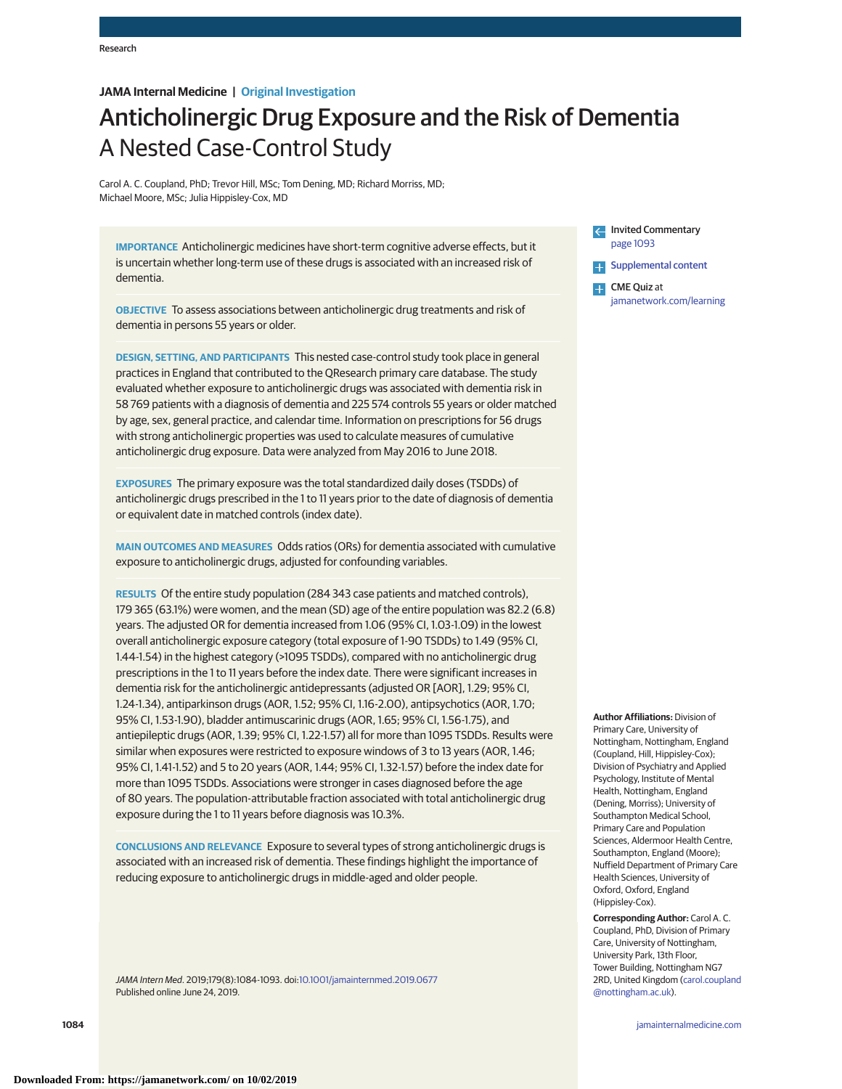## **JAMA Internal Medicine | Original Investigation**

# Anticholinergic Drug Exposure and the Risk of Dementia A Nested Case-Control Study

Carol A. C. Coupland, PhD; Trevor Hill, MSc; Tom Dening, MD; Richard Morriss, MD; Michael Moore, MSc; Julia Hippisley-Cox, MD

**IMPORTANCE** Anticholinergic medicines have short-term cognitive adverse effects, but it is uncertain whether long-term use of these drugs is associated with an increased risk of dementia.

**OBJECTIVE** To assess associations between anticholinergic drug treatments and risk of dementia in persons 55 years or older.

**DESIGN, SETTING, AND PARTICIPANTS** This nested case-control study took place in general practices in England that contributed to the QResearch primary care database. The study evaluated whether exposure to anticholinergic drugs was associated with dementia risk in 58 769 patients with a diagnosis of dementia and 225 574 controls 55 years or older matched by age, sex, general practice, and calendar time. Information on prescriptions for 56 drugs with strong anticholinergic properties was used to calculate measures of cumulative anticholinergic drug exposure. Data were analyzed from May 2016 to June 2018.

**EXPOSURES** The primary exposure was the total standardized daily doses (TSDDs) of anticholinergic drugs prescribed in the 1 to 11 years prior to the date of diagnosis of dementia or equivalent date in matched controls (index date).

**MAIN OUTCOMES AND MEASURES** Odds ratios (ORs) for dementia associated with cumulative exposure to anticholinergic drugs, adjusted for confounding variables.

**RESULTS** Of the entire study population (284 343 case patients and matched controls), 179 365 (63.1%) were women, and the mean (SD) age of the entire population was 82.2 (6.8) years. The adjusted OR for dementia increased from 1.06 (95% CI, 1.03-1.09) in the lowest overall anticholinergic exposure category (total exposure of 1-90 TSDDs) to 1.49 (95% CI, 1.44-1.54) in the highest category (>1095 TSDDs), compared with no anticholinergic drug prescriptions in the 1 to 11 years before the index date. There were significant increases in dementia risk for the anticholinergic antidepressants (adjusted OR [AOR], 1.29; 95% CI, 1.24-1.34), antiparkinson drugs (AOR, 1.52; 95% CI, 1.16-2.00), antipsychotics (AOR, 1.70; 95% CI, 1.53-1.90), bladder antimuscarinic drugs (AOR, 1.65; 95% CI, 1.56-1.75), and antiepileptic drugs (AOR, 1.39; 95% CI, 1.22-1.57) all for more than 1095 TSDDs. Results were similar when exposures were restricted to exposure windows of 3 to 13 years (AOR, 1.46; 95% CI, 1.41-1.52) and 5 to 20 years (AOR, 1.44; 95% CI, 1.32-1.57) before the index date for more than 1095 TSDDs. Associations were stronger in cases diagnosed before the age of 80 years. The population-attributable fraction associated with total anticholinergic drug exposure during the 1 to 11 years before diagnosis was 10.3%.

**CONCLUSIONS AND RELEVANCE** Exposure to several types of strong anticholinergic drugs is associated with an increased risk of dementia. These findings highlight the importance of reducing exposure to anticholinergic drugs in middle-aged and older people.

JAMA Intern Med. 2019;179(8):1084-1093. doi[:10.1001/jamainternmed.2019.0677](https://jama.jamanetwork.com/article.aspx?doi=10.1001/jamainternmed.2019.0677&utm_campaign=articlePDF%26utm_medium=articlePDFlink%26utm_source=articlePDF%26utm_content=jamainternmed.2019.0677) Published online June 24, 2019.

**Invited Commentary** [page 1093](https://jama.jamanetwork.com/article.aspx?doi=10.1001/jamainternmed.2019.0676&utm_campaign=articlePDF%26utm_medium=articlePDFlink%26utm_source=articlePDF%26utm_content=jamainternmed.2019.0677) **[Supplemental content](https://jama.jamanetwork.com/article.aspx?doi=10.1001/jamainternmed.2019.0677&utm_campaign=articlePDF%26utm_medium=articlePDFlink%26utm_source=articlePDF%26utm_content=jamainternmed.2019.0677)** 

CME Quiz at [jamanetwork.com/learning](https://jama.jamanetwork.com/learning/article-quiz/10.1001/jamainternmed.2019.0677/?utm_campaign=articlePDF%26utm_medium=articlePDFlink%26utm_source=articlePDF%26utm_content=jamainternmed.2019.0677)

**Author Affiliations:** Division of Primary Care, University of Nottingham, Nottingham, England (Coupland, Hill, Hippisley-Cox); Division of Psychiatry and Applied Psychology, Institute of Mental Health, Nottingham, England (Dening, Morriss); University of Southampton Medical School, Primary Care and Population Sciences, Aldermoor Health Centre, Southampton, England (Moore); Nuffield Department of Primary Care Health Sciences, University of Oxford, Oxford, England (Hippisley-Cox).

**Corresponding Author:** Carol A. C. Coupland, PhD, Division of Primary Care, University of Nottingham, University Park, 13th Floor, Tower Building, Nottingham NG7 2RD, United Kingdom [\(carol.coupland](mailto:carol.coupland@nottingham.ac.uk) [@nottingham.ac.uk\)](mailto:carol.coupland@nottingham.ac.uk).

**1084 (Reprinted)** [jamainternalmedicine.com](http://www.jamainternalmedicine.com/?utm_campaign=articlePDF%26utm_medium=articlePDFlink%26utm_source=articlePDF%26utm_content=jamainternmed.2019.0677)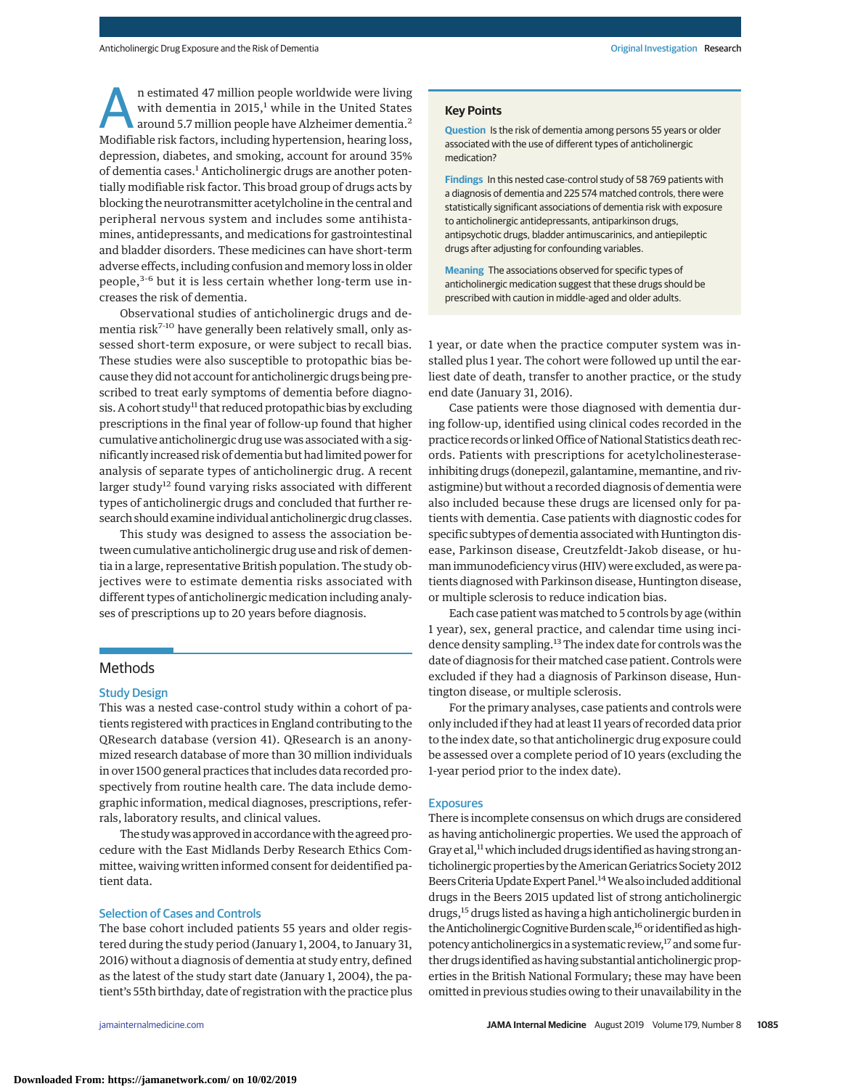n estimated 47 million people worldwide were living with dementia in 2015, $<sup>1</sup>$  while in the United States</sup> around 5.7 million people have Alzheimer dementia.2 Modifiable risk factors, including hypertension, hearing loss, depression, diabetes, and smoking, account for around 35% of dementia cases.<sup>1</sup> Anticholinergic drugs are another potentially modifiable risk factor. This broad group of drugs acts by blocking the neurotransmitter acetylcholine in the central and peripheral nervous system and includes some antihistamines, antidepressants, and medications for gastrointestinal and bladder disorders. These medicines can have short-term adverse effects, including confusion and memory loss in older people,3-6 but it is less certain whether long-term use increases the risk of dementia.

Observational studies of anticholinergic drugs and dementia risk<sup>7-10</sup> have generally been relatively small, only assessed short-term exposure, or were subject to recall bias. These studies were also susceptible to protopathic bias because they did not account for anticholinergic drugs being prescribed to treat early symptoms of dementia before diagnosis. A cohort study<sup>11</sup> that reduced protopathic bias by excluding prescriptions in the final year of follow-up found that higher cumulative anticholinergic drug use was associated with a significantly increased risk of dementia but had limited power for analysis of separate types of anticholinergic drug. A recent larger study<sup>12</sup> found varying risks associated with different types of anticholinergic drugs and concluded that further research should examine individual anticholinergic drug classes.

This study was designed to assess the association between cumulative anticholinergic drug use and risk of dementia in a large, representative British population. The study objectives were to estimate dementia risks associated with different types of anticholinergic medication including analyses of prescriptions up to 20 years before diagnosis.

## Methods

#### Study Design

This was a nested case-control study within a cohort of patients registered with practices in England contributing to the QResearch database (version 41). QResearch is an anonymized research database of more than 30 million individuals in over 1500 general practices that includes data recorded prospectively from routine health care. The data include demographic information, medical diagnoses, prescriptions, referrals, laboratory results, and clinical values.

The study was approved in accordance with the agreed procedure with the East Midlands Derby Research Ethics Committee, waiving written informed consent for deidentified patient data.

#### Selection of Cases and Controls

The base cohort included patients 55 years and older registered during the study period (January 1, 2004, to January 31, 2016) without a diagnosis of dementia at study entry, defined as the latest of the study start date (January 1, 2004), the patient's 55th birthday, date of registration with the practice plus

#### **Key Points**

**Question** Is the risk of dementia among persons 55 years or older associated with the use of different types of anticholinergic medication?

**Findings** In this nested case-control study of 58 769 patients with a diagnosis of dementia and 225 574 matched controls, there were statistically significant associations of dementia risk with exposure to anticholinergic antidepressants, antiparkinson drugs, antipsychotic drugs, bladder antimuscarinics, and antiepileptic drugs after adjusting for confounding variables.

**Meaning** The associations observed for specific types of anticholinergic medication suggest that these drugs should be prescribed with caution in middle-aged and older adults.

1 year, or date when the practice computer system was installed plus 1 year. The cohort were followed up until the earliest date of death, transfer to another practice, or the study end date (January 31, 2016).

Case patients were those diagnosed with dementia during follow-up, identified using clinical codes recorded in the practice records or linked Office of National Statistics death records. Patients with prescriptions for acetylcholinesteraseinhibiting drugs (donepezil, galantamine, memantine, and rivastigmine) but without a recorded diagnosis of dementia were also included because these drugs are licensed only for patients with dementia. Case patients with diagnostic codes for specific subtypes of dementia associated with Huntington disease, Parkinson disease, Creutzfeldt-Jakob disease, or human immunodeficiency virus (HIV) were excluded, as were patients diagnosed with Parkinson disease, Huntington disease, or multiple sclerosis to reduce indication bias.

Each case patient wasmatched to 5 controls by age (within 1 year), sex, general practice, and calendar time using incidence density sampling.<sup>13</sup> The index date for controls was the date of diagnosis for their matched case patient. Controls were excluded if they had a diagnosis of Parkinson disease, Huntington disease, or multiple sclerosis.

For the primary analyses, case patients and controls were only included if they had at least 11 years of recorded data prior to the index date, so that anticholinergic drug exposure could be assessed over a complete period of 10 years (excluding the 1-year period prior to the index date).

#### **Exposures**

There is incomplete consensus on which drugs are considered as having anticholinergic properties. We used the approach of Gray et al,<sup>11</sup> which included drugs identified as having strong anticholinergic properties by the American Geriatrics Society 2012 Beers Criteria Update Expert Panel.<sup>14</sup> We also included additional drugs in the Beers 2015 updated list of strong anticholinergic drugs,<sup>15</sup> drugs listed as having a high anticholinergic burden in the Anticholinergic Cognitive Burden scale,<sup>16</sup> or identified as highpotency anticholinergics in a systematic review,<sup>17</sup> and some further drugs identified as having substantial anticholinergic properties in the British National Formulary; these may have been omitted in previous studies owing to their unavailability in the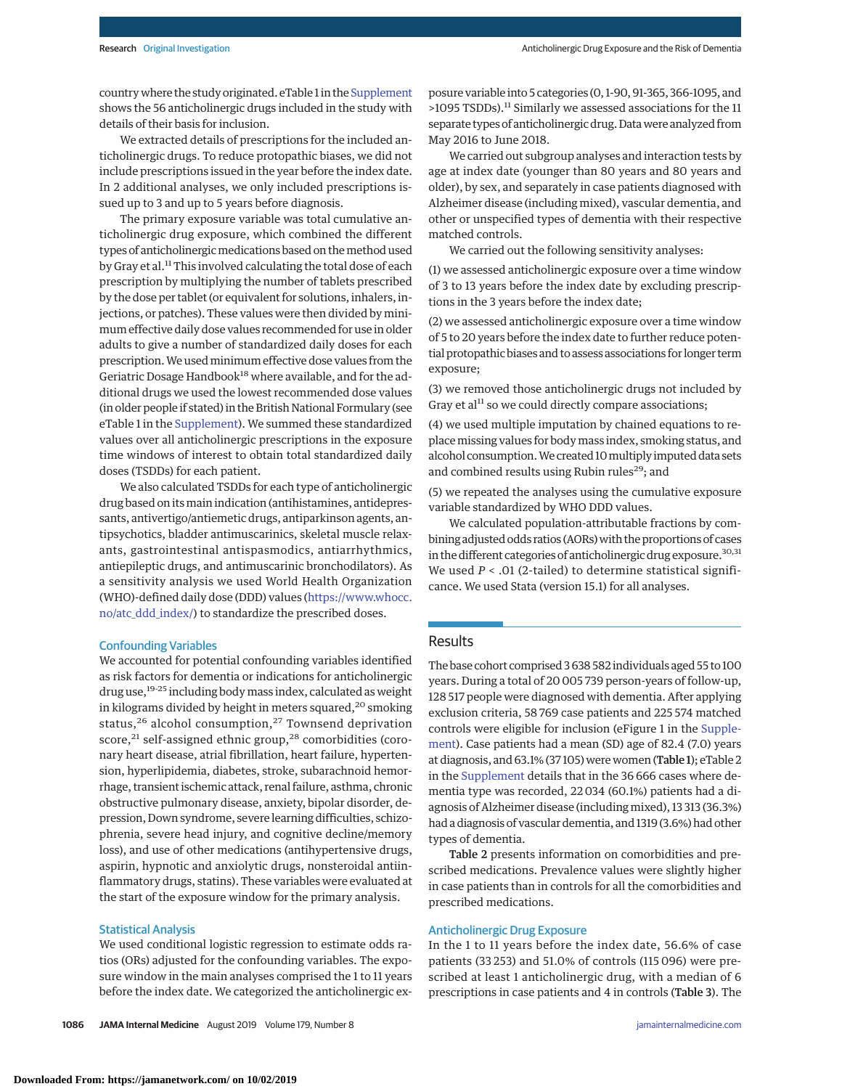country where the study originated. eTable 1 in the [Supplement](https://jama.jamanetwork.com/article.aspx?doi=10.1001/jamainternmed.2019.0677&utm_campaign=articlePDF%26utm_medium=articlePDFlink%26utm_source=articlePDF%26utm_content=jamainternmed.2019.0677) shows the 56 anticholinergic drugs included in the study with details of their basis for inclusion.

We extracted details of prescriptions for the included anticholinergic drugs. To reduce protopathic biases, we did not include prescriptions issued in the year before the index date. In 2 additional analyses, we only included prescriptions issued up to 3 and up to 5 years before diagnosis.

The primary exposure variable was total cumulative anticholinergic drug exposure, which combined the different types of anticholinergic medications based on the method used by Gray et al.<sup>11</sup> This involved calculating the total dose of each prescription by multiplying the number of tablets prescribed by the dose per tablet (or equivalent for solutions, inhalers, injections, or patches). These values were then divided by minimum effective daily dose values recommended for use in older adults to give a number of standardized daily doses for each prescription. We used minimum effective dose values from the Geriatric Dosage Handbook<sup>18</sup> where available, and for the additional drugs we used the lowest recommended dose values (in older people if stated) in the British National Formulary (see eTable 1 in the [Supplement\)](https://jama.jamanetwork.com/article.aspx?doi=10.1001/jamainternmed.2019.0677&utm_campaign=articlePDF%26utm_medium=articlePDFlink%26utm_source=articlePDF%26utm_content=jamainternmed.2019.0677). We summed these standardized values over all anticholinergic prescriptions in the exposure time windows of interest to obtain total standardized daily doses (TSDDs) for each patient.

We also calculated TSDDs for each type of anticholinergic drug based on its main indication (antihistamines, antidepressants, antivertigo/antiemetic drugs, antiparkinson agents, antipsychotics, bladder antimuscarinics, skeletal muscle relaxants, gastrointestinal antispasmodics, antiarrhythmics, antiepileptic drugs, and antimuscarinic bronchodilators). As a sensitivity analysis we used World Health Organization (WHO)-defined daily dose (DDD) values [\(https://www.whocc.](https://www.whocc.no/atc_ddd_index/) [no/atc\\_ddd\\_index/\)](https://www.whocc.no/atc_ddd_index/) to standardize the prescribed doses.

#### Confounding Variables

We accounted for potential confounding variables identified as risk factors for dementia or indications for anticholinergic drug use,19-25 including body mass index, calculated as weight in kilograms divided by height in meters squared,  $20$  smoking status,<sup>26</sup> alcohol consumption,<sup>27</sup> Townsend deprivation score,<sup>21</sup> self-assigned ethnic group,<sup>28</sup> comorbidities (coronary heart disease, atrial fibrillation, heart failure, hypertension, hyperlipidemia, diabetes, stroke, subarachnoid hemorrhage, transient ischemic attack, renal failure, asthma, chronic obstructive pulmonary disease, anxiety, bipolar disorder, depression, Down syndrome, severe learning difficulties, schizophrenia, severe head injury, and cognitive decline/memory loss), and use of other medications (antihypertensive drugs, aspirin, hypnotic and anxiolytic drugs, nonsteroidal antiinflammatory drugs, statins). These variables were evaluated at the start of the exposure window for the primary analysis.

## Statistical Analysis

We used conditional logistic regression to estimate odds ratios (ORs) adjusted for the confounding variables. The exposure window in the main analyses comprised the 1 to 11 years before the index date. We categorized the anticholinergic exposure variable into 5 categories (0, 1-90, 91-365, 366-1095, and >1095 TSDDs).11 Similarly we assessed associations for the 11 separate types of anticholinergic drug. Datawere analyzed from May 2016 to June 2018.

We carried out subgroup analyses and interaction tests by age at index date (younger than 80 years and 80 years and older), by sex, and separately in case patients diagnosed with Alzheimer disease (including mixed), vascular dementia, and other or unspecified types of dementia with their respective matched controls.

We carried out the following sensitivity analyses:

(1) we assessed anticholinergic exposure over a time window of 3 to 13 years before the index date by excluding prescriptions in the 3 years before the index date;

(2) we assessed anticholinergic exposure over a time window of 5 to 20 years before the index date to further reduce potential protopathic biases and to assess associations for longer term exposure;

(3) we removed those anticholinergic drugs not included by Gray et al $11$  so we could directly compare associations;

(4) we used multiple imputation by chained equations to replace missing values for body mass index, smoking status, and alcohol consumption.We created 10multiply imputed data sets and combined results using Rubin rules<sup>29</sup>; and

(5) we repeated the analyses using the cumulative exposure variable standardized by WHO DDD values.

We calculated population-attributable fractions by combining adjusted odds ratios (AORs) with the proportions of cases in the different categories of anticholinergic drug exposure.<sup>30,31</sup> We used  $P < .01$  (2-tailed) to determine statistical significance. We used Stata (version 15.1) for all analyses.

## Results

The base cohort comprised 3 638 582 individuals aged 55 to 100 years. During a total of 20 005 739 person-years of follow-up, 128 517 people were diagnosed with dementia. After applying exclusion criteria, 58 769 case patients and 225 574 matched controls were eligible for inclusion (eFigure 1 in the [Supple](https://jama.jamanetwork.com/article.aspx?doi=10.1001/jamainternmed.2019.0677&utm_campaign=articlePDF%26utm_medium=articlePDFlink%26utm_source=articlePDF%26utm_content=jamainternmed.2019.0677)[ment\)](https://jama.jamanetwork.com/article.aspx?doi=10.1001/jamainternmed.2019.0677&utm_campaign=articlePDF%26utm_medium=articlePDFlink%26utm_source=articlePDF%26utm_content=jamainternmed.2019.0677). Case patients had a mean (SD) age of 82.4 (7.0) years at diagnosis, and 63.1% (37 105) were women (Table 1); eTable 2 in the [Supplement](https://jama.jamanetwork.com/article.aspx?doi=10.1001/jamainternmed.2019.0677&utm_campaign=articlePDF%26utm_medium=articlePDFlink%26utm_source=articlePDF%26utm_content=jamainternmed.2019.0677) details that in the 36 666 cases where dementia type was recorded, 22 034 (60.1%) patients had a diagnosis of Alzheimer disease (including mixed), 13 313 (36.3%) had a diagnosis of vascular dementia, and 1319 (3.6%) had other types of dementia.

Table 2 presents information on comorbidities and prescribed medications. Prevalence values were slightly higher in case patients than in controls for all the comorbidities and prescribed medications.

## Anticholinergic Drug Exposure

In the 1 to 11 years before the index date, 56.6% of case patients (33 253) and 51.0% of controls (115 096) were prescribed at least 1 anticholinergic drug, with a median of 6 prescriptions in case patients and 4 in controls (Table 3). The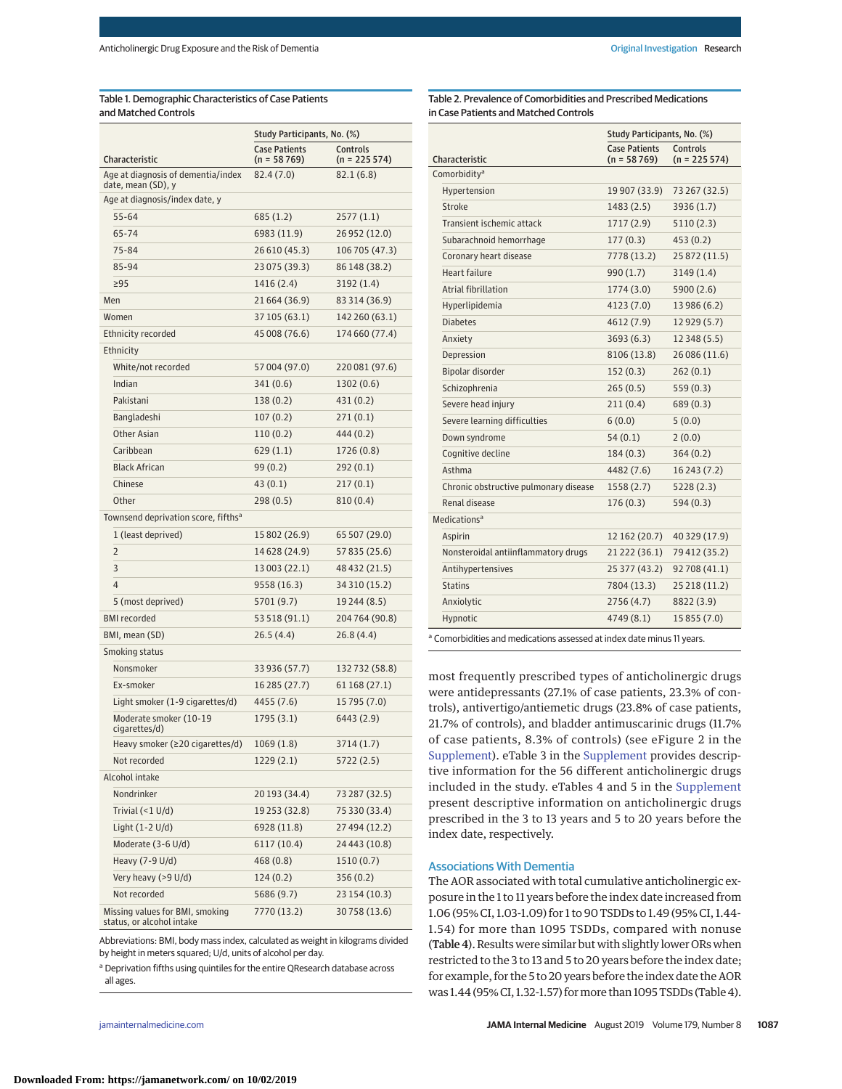# Table 1. Demographic Characteristics of Case Patients and Matched Controls

|                                                              | Study Participants, No. (%)           |                            |  |
|--------------------------------------------------------------|---------------------------------------|----------------------------|--|
| Characteristic                                               | <b>Case Patients</b><br>$(n = 58769)$ | Controls<br>$(n = 225574)$ |  |
| Age at diagnosis of dementia/index<br>date, mean (SD), y     | 82.4(7.0)                             | 82.1(6.8)                  |  |
| Age at diagnosis/index date, y                               |                                       |                            |  |
| 55-64                                                        | 685 (1.2)                             | 2577(1.1)                  |  |
| 65-74                                                        | 6983 (11.9)                           | 26 952 (12.0)              |  |
| 75-84                                                        | 26 610 (45.3)                         | 106 705 (47.3)             |  |
| 85-94                                                        | 23 075 (39.3)                         | 86 148 (38.2)              |  |
| >95                                                          | 1416 (2.4)                            | 3192(1.4)                  |  |
| Men                                                          | 21 664 (36.9)                         | 83 314 (36.9)              |  |
| Women                                                        | 37 105 (63.1)                         | 142 260 (63.1)             |  |
| Ethnicity recorded                                           | 45 008 (76.6)                         | 174 660 (77.4)             |  |
| Ethnicity                                                    |                                       |                            |  |
| White/not recorded                                           | 57 004 (97.0)                         | 220 081 (97.6)             |  |
| Indian                                                       | 341(0.6)                              | 1302 (0.6)                 |  |
| Pakistani                                                    | 138 (0.2)                             | 431 (0.2)                  |  |
| Bangladeshi                                                  | 107(0.2)                              | 271(0.1)                   |  |
| Other Asian                                                  | 110(0.2)                              | 444 (0.2)                  |  |
| Caribbean                                                    | 629(1.1)                              | 1726 (0.8)                 |  |
| <b>Black African</b>                                         | 99(0.2)                               | 292(0.1)                   |  |
| Chinese                                                      | 43(0.1)                               | 217(0.1)                   |  |
| Other                                                        | 298(0.5)                              | 810 (0.4)                  |  |
| Townsend deprivation score, fifths <sup>a</sup>              |                                       |                            |  |
| 1 (least deprived)                                           | 15 802 (26.9)                         | 65 507 (29.0)              |  |
| $\overline{2}$                                               | 14 6 28 (24.9)                        | 57 835 (25.6)              |  |
| 3                                                            | 13 003 (22.1)                         | 48 432 (21.5)              |  |
| 4                                                            | 9558 (16.3)                           | 34 310 (15.2)              |  |
| 5 (most deprived)                                            | 5701 (9.7)                            | 19 244 (8.5)               |  |
| <b>BMI</b> recorded                                          | 53 518 (91.1)                         | 204 764 (90.8)             |  |
| BMI, mean (SD)                                               | 26.5(4.4)                             | 26.8(4.4)                  |  |
| Smoking status                                               |                                       |                            |  |
| Nonsmoker                                                    | 33 936 (57.7)                         | 132 732 (58.8)             |  |
| Ex-smoker                                                    | 16 285 (27.7)                         | 61 168 (27.1)              |  |
| Light smoker (1-9 cigarettes/d)                              | 4455 (7.6)                            | 15 795 (7.0)               |  |
| Moderate smoker (10-19<br>cigarettes/d)                      | 1795(3.1)                             | 6443 (2.9)                 |  |
| Heavy smoker ( $\geq 20$ cigarettes/d)                       | 1069 (1.8)                            | 3714 (1.7)                 |  |
| Not recorded                                                 | 1229 (2.1)                            | 5722 (2.5)                 |  |
| Alcohol intake                                               |                                       |                            |  |
| Nondrinker                                                   | 20 193 (34.4)                         | 73 287 (32.5)              |  |
| Trivial $(<1$ U/d)                                           | 19 253 (32.8)                         | 75 330 (33.4)              |  |
| Light $(1-2 U/d)$                                            | 6928 (11.8)                           | 27 494 (12.2)              |  |
| Moderate (3-6 U/d)                                           | 6117(10.4)                            | 24 443 (10.8)              |  |
| Heavy (7-9 U/d)                                              | 468(0.8)                              | 1510 (0.7)                 |  |
| Very heavy (>9 U/d)                                          | 124 (0.2)                             | 356 (0.2)                  |  |
| Not recorded                                                 | 5686 (9.7)                            | 23 154 (10.3)              |  |
| Missing values for BMI, smoking<br>status, or alcohol intake | 7770 (13.2)                           | 30 758 (13.6)              |  |

Abbreviations: BMI, body mass index, calculated as weight in kilograms divided by height in meters squared; U/d, units of alcohol per day.

a Deprivation fifths using quintiles for the entire QResearch database across all ages.

Table 2. Prevalence of Comorbidities and Prescribed Medications in Case Patients and Matched Controls

|                                                                        | Study Participants, No. (%)           |                                   |
|------------------------------------------------------------------------|---------------------------------------|-----------------------------------|
| Characteristic                                                         | <b>Case Patients</b><br>$(n = 58769)$ | <b>Controls</b><br>$(n = 225574)$ |
| Comorbidity <sup>a</sup>                                               |                                       |                                   |
| Hypertension                                                           | 19 907 (33.9)                         | 73 267 (32.5)                     |
| Stroke                                                                 | 1483 (2.5)                            | 3936 (1.7)                        |
| Transient ischemic attack                                              | 1717(2.9)                             | 5110(2.3)                         |
| Subarachnoid hemorrhage                                                | 177(0.3)                              | 453(0.2)                          |
| Coronary heart disease                                                 | 7778 (13.2)                           | 25 872 (11.5)                     |
| Heart failure                                                          | 990(1.7)                              | 3149(1.4)                         |
| Atrial fibrillation                                                    | 1774(3.0)                             | 5900(2.6)                         |
| Hyperlipidemia                                                         | 4123 (7.0)                            | 13 986 (6.2)                      |
| <b>Diabetes</b>                                                        | 4612 (7.9)                            | 12 929 (5.7)                      |
| Anxiety                                                                | 3693(6.3)                             | 12 348 (5.5)                      |
| Depression                                                             | 8106 (13.8)                           | 26 086 (11.6)                     |
| Bipolar disorder                                                       | 152(0.3)                              | 262(0.1)                          |
| Schizophrenia                                                          | 265(0.5)                              | 559(0.3)                          |
| Severe head injury                                                     | 211(0.4)                              | 689(0.3)                          |
| Severe learning difficulties                                           | 6(0.0)                                | 5(0.0)                            |
| Down syndrome                                                          | 54(0.1)                               | 2(0.0)                            |
| Cognitive decline                                                      | 184(0.3)                              | 364(0.2)                          |
| Asthma                                                                 | 4482 (7.6)                            | 16 243 (7.2)                      |
| Chronic obstructive pulmonary disease                                  | 1558(2.7)                             | 5228(2.3)                         |
| Renal disease                                                          | 176(0.3)                              | 594 (0.3)                         |
| Medications <sup>a</sup>                                               |                                       |                                   |
| Aspirin                                                                | 12 162 (20.7)                         | 40 329 (17.9)                     |
| Nonsteroidal antiinflammatory drugs                                    | 21 222 (36.1)                         | 79 412 (35.2)                     |
| Antihypertensives                                                      | 25 377 (43.2)                         | 92 708 (41.1)                     |
| <b>Statins</b>                                                         | 7804 (13.3)                           | 25 218 (11.2)                     |
| Anxiolytic                                                             | 2756(4.7)                             | 8822 (3.9)                        |
| Hypnotic                                                               | 4749 (8.1)                            | 15 855 (7.0)                      |
| a Comorbidities and medications assessed at index date minus 11 years. |                                       |                                   |

most frequently prescribed types of anticholinergic drugs were antidepressants (27.1% of case patients, 23.3% of controls), antivertigo/antiemetic drugs (23.8% of case patients, 21.7% of controls), and bladder antimuscarinic drugs (11.7% of case patients, 8.3% of controls) (see eFigure 2 in the [Supplement\)](https://jama.jamanetwork.com/article.aspx?doi=10.1001/jamainternmed.2019.0677&utm_campaign=articlePDF%26utm_medium=articlePDFlink%26utm_source=articlePDF%26utm_content=jamainternmed.2019.0677). eTable 3 in the [Supplement](https://jama.jamanetwork.com/article.aspx?doi=10.1001/jamainternmed.2019.0677&utm_campaign=articlePDF%26utm_medium=articlePDFlink%26utm_source=articlePDF%26utm_content=jamainternmed.2019.0677) provides descriptive information for the 56 different anticholinergic drugs included in the study. eTables 4 and 5 in the [Supplement](https://jama.jamanetwork.com/article.aspx?doi=10.1001/jamainternmed.2019.0677&utm_campaign=articlePDF%26utm_medium=articlePDFlink%26utm_source=articlePDF%26utm_content=jamainternmed.2019.0677) present descriptive information on anticholinergic drugs prescribed in the 3 to 13 years and 5 to 20 years before the index date, respectively.

#### Associations With Dementia

The AOR associated with total cumulative anticholinergic exposure in the 1 to 11 years before the index date increased from 1.06 (95% CI, 1.03-1.09) for 1 to 90 TSDDs to 1.49 (95% CI, 1.44- 1.54) for more than 1095 TSDDs, compared with nonuse (Table 4). Results were similar but with slightly lower ORs when restricted to the 3 to 13 and 5 to 20 years before the index date; for example, for the 5 to 20 years before the index date the AOR was 1.44 (95% CI, 1.32-1.57) formore than 1095 TSDDs (Table 4).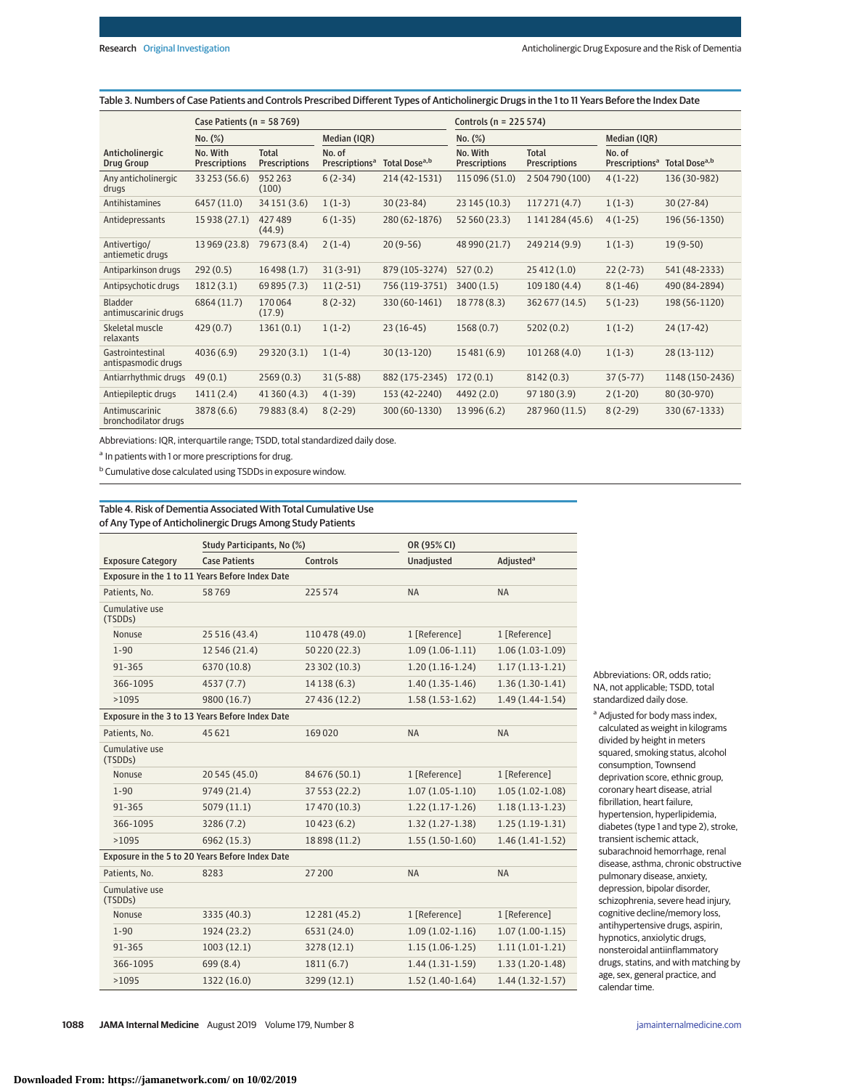|                                         | Case Patients ( $n = 58769$ )    |                                      |                                      | Controls (n = 225 574)    |                                  |                                      |                                      |                           |
|-----------------------------------------|----------------------------------|--------------------------------------|--------------------------------------|---------------------------|----------------------------------|--------------------------------------|--------------------------------------|---------------------------|
| No. (%)                                 |                                  | Median (IQR)                         |                                      | No. (%)                   |                                  | Median (IQR)                         |                                      |                           |
| Anticholinergic<br>Drug Group           | No. With<br><b>Prescriptions</b> | <b>Total</b><br><b>Prescriptions</b> | No. of<br>Prescriptions <sup>a</sup> | Total Dose <sup>a,b</sup> | No. With<br><b>Prescriptions</b> | <b>Total</b><br><b>Prescriptions</b> | No. of<br>Prescriptions <sup>a</sup> | Total Dose <sup>a,b</sup> |
| Any anticholinergic<br>drugs            | 33 253 (56.6)                    | 952 263<br>(100)                     | $6(2-34)$                            | 214 (42-1531)             | 115 096 (51.0)                   | 2 504 790 (100)                      | $4(1-22)$                            | 136 (30-982)              |
| Antihistamines                          | 6457 (11.0)                      | 34 151 (3.6)                         | $1(1-3)$                             | $30(23-84)$               | 23 145 (10.3)                    | 117271(4.7)                          | $1(1-3)$                             | $30(27-84)$               |
| Antidepressants                         | 15 938 (27.1)                    | 427489<br>(44.9)                     | $6(1-35)$                            | 280 (62-1876)             | 52 560 (23.3)                    | 1 141 284 (45.6)                     | $4(1-25)$                            | 196 (56-1350)             |
| Antivertigo/<br>antiemetic drugs        | 13 969 (23.8)                    | 79 673 (8.4)                         | $2(1-4)$                             | $20(9-56)$                | 48 990 (21.7)                    | 249 214 (9.9)                        | $1(1-3)$                             | $19(9-50)$                |
| Antiparkinson drugs                     | 292(0.5)                         | 16498(1.7)                           | $31(3-91)$                           | 879 (105-3274)            | 527(0.2)                         | 25 412 (1.0)                         | $22(2-73)$                           | 541 (48-2333)             |
| Antipsychotic drugs                     | 1812(3.1)                        | 69 895 (7.3)                         | $11(2-51)$                           | 756 (119-3751)            | 3400(1.5)                        | 109 180 (4.4)                        | $8(1-46)$                            | 490 (84-2894)             |
| Bladder<br>antimuscarinic drugs         | 6864 (11.7)                      | 170064<br>(17.9)                     | $8(2-32)$                            | 330 (60-1461)             | 18778 (8.3)                      | 362 677 (14.5)                       | $5(1-23)$                            | 198 (56-1120)             |
| Skeletal muscle<br>relaxants            | 429(0.7)                         | 1361(0.1)                            | $1(1-2)$                             | $23(16-45)$               | 1568(0.7)                        | 5202(0.2)                            | $1(1-2)$                             | $24(17-42)$               |
| Gastrointestinal<br>antispasmodic drugs | 4036(6.9)                        | 29 320 (3.1)                         | $1(1-4)$                             | $30(13-120)$              | 15 481 (6.9)                     | 101 268 (4.0)                        | $1(1-3)$                             | $28(13-112)$              |
| Antiarrhythmic drugs                    | 49(0.1)                          | 2569(0.3)                            | $31(5-88)$                           | 882 (175-2345)            | 172(0.1)                         | 8142(0.3)                            | $37(5-77)$                           | 1148 (150-2436)           |
| Antiepileptic drugs                     | 1411(2.4)                        | 41 360 (4.3)                         | $4(1-39)$                            | 153 (42-2240)             | 4492 (2.0)                       | 97 180 (3.9)                         | $2(1-20)$                            | 80 (30-970)               |
| Antimuscarinic<br>bronchodilator drugs  | 3878 (6.6)                       | 79 883 (8.4)                         | $8(2-29)$                            | 300 (60-1330)             | 13 996 (6.2)                     | 287 960 (11.5)                       | $8(2-29)$                            | 330 (67-1333)             |

Table 3. Numbers of Case Patients and Controls Prescribed Different Types of Anticholinergic Drugs in the 1 to 11 Years Before the Index Date

Abbreviations: IQR, interquartile range; TSDD, total standardized daily dose.

<sup>a</sup> In patients with 1 or more prescriptions for drug.

<sup>b</sup> Cumulative dose calculated using TSDDs in exposure window.

## Table 4. Risk of Dementia Associated With Total Cumulative Use of Any Type of Anticholinergic Drugs Among Study Patients

|                                                 | Study Participants, No (%) |                | OR (95% CI)         |                       |  |  |  |
|-------------------------------------------------|----------------------------|----------------|---------------------|-----------------------|--|--|--|
| <b>Exposure Category</b>                        | <b>Case Patients</b>       | Controls       | <b>Unadjusted</b>   | Adjusted <sup>a</sup> |  |  |  |
| Exposure in the 1 to 11 Years Before Index Date |                            |                |                     |                       |  |  |  |
| Patients. No.                                   | 58769                      | 225 574        | <b>NA</b>           | <b>NA</b>             |  |  |  |
| Cumulative use<br>(TSDDs)                       |                            |                |                     |                       |  |  |  |
| Nonuse                                          | 25 516 (43.4)              | 110 478 (49.0) | 1 [Reference]       | 1 [Reference]         |  |  |  |
| $1 - 90$                                        | 12 546 (21.4)              | 50 220 (22.3)  | $1.09(1.06-1.11)$   | $1.06(1.03-1.09)$     |  |  |  |
| 91-365                                          | 6370 (10.8)                | 23 302 (10.3)  | $1.20(1.16-1.24)$   | $1.17(1.13-1.21)$     |  |  |  |
| 366-1095                                        | 4537 (7.7)                 | 14 138 (6.3)   | $1.40(1.35-1.46)$   | $1.36(1.30-1.41)$     |  |  |  |
| >1095                                           | 9800 (16.7)                | 27 436 (12.2)  | $1.58(1.53-1.62)$   | $1.49(1.44-1.54)$     |  |  |  |
| Exposure in the 3 to 13 Years Before Index Date |                            |                |                     |                       |  |  |  |
| Patients, No.                                   | 45621                      | 169020         | <b>NA</b>           | <b>NA</b>             |  |  |  |
| Cumulative use<br>(TSDDs)                       |                            |                |                     |                       |  |  |  |
| <b>Nonuse</b>                                   | 20 545 (45.0)              | 84 676 (50.1)  | 1 [Reference]       | 1 [Reference]         |  |  |  |
| $1 - 90$                                        | 9749 (21.4)                | 37 553 (22.2)  | $1.07(1.05-1.10)$   | $1.05(1.02-1.08)$     |  |  |  |
| 91-365                                          | 5079 (11.1)                | 17 470 (10.3)  | $1.22(1.17-1.26)$   | $1.18(1.13-1.23)$     |  |  |  |
| 366-1095                                        | 3286 (7.2)                 | 10423(6.2)     | $1.32(1.27-1.38)$   | $1.25(1.19-1.31)$     |  |  |  |
| >1095                                           | 6962 (15.3)                | 18 898 (11.2)  | $1.55(1.50-1.60)$   | $1.46(1.41-1.52)$     |  |  |  |
| Exposure in the 5 to 20 Years Before Index Date |                            |                |                     |                       |  |  |  |
| Patients, No.                                   | 8283                       | 27 200         | <b>NA</b>           | <b>NA</b>             |  |  |  |
| Cumulative use<br>(TSDDs)                       |                            |                |                     |                       |  |  |  |
| <b>Nonuse</b>                                   | 3335 (40.3)                | 12 281 (45.2)  | 1 [Reference]       | 1 [Reference]         |  |  |  |
| $1 - 90$                                        | 1924 (23.2)                | 6531 (24.0)    | $1.09(1.02 - 1.16)$ | $1.07(1.00-1.15)$     |  |  |  |
| 91-365                                          | 1003(12.1)                 | 3278 (12.1)    | $1.15(1.06-1.25)$   | $1.11(1.01-1.21)$     |  |  |  |
| 366-1095                                        | 699 (8.4)                  | 1811(6.7)      | $1.44(1.31-1.59)$   | $1.33(1.20-1.48)$     |  |  |  |
| >1095                                           | 1322 (16.0)                | 3299 (12.1)    | $1.52(1.40-1.64)$   | $1.44(1.32-1.57)$     |  |  |  |

Abbreviations: OR, odds ratio; NA, not applicable; TSDD, total standardized daily dose.

<sup>a</sup> Adjusted for body mass index, calculated as weight in kilograms divided by height in meters squared, smoking status, alcohol consumption, Townsend deprivation score, ethnic group, coronary heart disease, atrial fibrillation, heart failure, hypertension, hyperlipidemia, diabetes (type 1 and type 2), stroke, transient ischemic attack, subarachnoid hemorrhage, renal disease, asthma, chronic obstructive pulmonary disease, anxiety, depression, bipolar disorder, schizophrenia, severe head injury, cognitive decline/memory loss, antihypertensive drugs, aspirin, hypnotics, anxiolytic drugs, nonsteroidal antiinflammatory drugs, statins, and with matching by age, sex, general practice, and calendar time.

**1088 JAMA Internal Medicine** August 2019 Volume 179, Number 8 **(Reprinted)** [jamainternalmedicine.com](http://www.jamainternalmedicine.com/?utm_campaign=articlePDF%26utm_medium=articlePDFlink%26utm_source=articlePDF%26utm_content=jamainternmed.2019.0677)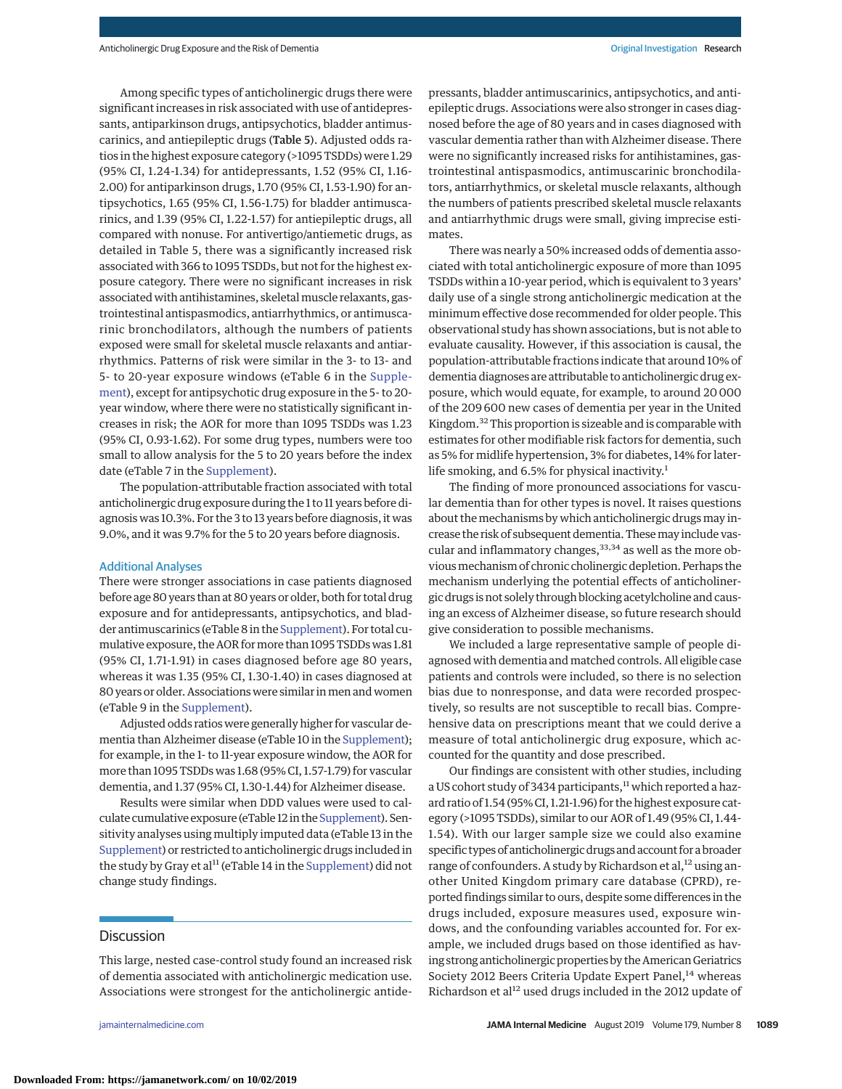Among specific types of anticholinergic drugs there were significant increases in risk associated with use of antidepressants, antiparkinson drugs, antipsychotics, bladder antimuscarinics, and antiepileptic drugs (Table 5). Adjusted odds ratios in the highest exposure category (>1095 TSDDs) were 1.29 (95% CI, 1.24-1.34) for antidepressants, 1.52 (95% CI, 1.16- 2.00) for antiparkinson drugs, 1.70 (95% CI, 1.53-1.90) for antipsychotics, 1.65 (95% CI, 1.56-1.75) for bladder antimuscarinics, and 1.39 (95% CI, 1.22-1.57) for antiepileptic drugs, all compared with nonuse. For antivertigo/antiemetic drugs, as detailed in Table 5, there was a significantly increased risk associated with 366 to 1095 TSDDs, but not for the highest exposure category. There were no significant increases in risk associated with antihistamines, skeletal muscle relaxants, gastrointestinal antispasmodics, antiarrhythmics, or antimuscarinic bronchodilators, although the numbers of patients exposed were small for skeletal muscle relaxants and antiarrhythmics. Patterns of risk were similar in the 3- to 13- and 5- to 20-year exposure windows (eTable 6 in the [Supple](https://jama.jamanetwork.com/article.aspx?doi=10.1001/jamainternmed.2019.0677&utm_campaign=articlePDF%26utm_medium=articlePDFlink%26utm_source=articlePDF%26utm_content=jamainternmed.2019.0677)[ment\)](https://jama.jamanetwork.com/article.aspx?doi=10.1001/jamainternmed.2019.0677&utm_campaign=articlePDF%26utm_medium=articlePDFlink%26utm_source=articlePDF%26utm_content=jamainternmed.2019.0677), except for antipsychotic drug exposure in the 5- to 20 year window, where there were no statistically significant increases in risk; the AOR for more than 1095 TSDDs was 1.23 (95% CI, 0.93-1.62). For some drug types, numbers were too small to allow analysis for the 5 to 20 years before the index date (eTable 7 in the [Supplement\)](https://jama.jamanetwork.com/article.aspx?doi=10.1001/jamainternmed.2019.0677&utm_campaign=articlePDF%26utm_medium=articlePDFlink%26utm_source=articlePDF%26utm_content=jamainternmed.2019.0677).

The population-attributable fraction associated with total anticholinergic drug exposure during the 1 to 11 years before diagnosis was 10.3%. For the 3 to 13 years before diagnosis, it was 9.0%, and it was 9.7% for the 5 to 20 years before diagnosis.

#### Additional Analyses

There were stronger associations in case patients diagnosed before age 80 years than at 80 years or older, both for total drug exposure and for antidepressants, antipsychotics, and bladder antimuscarinics (eTable 8 in the [Supplement\)](https://jama.jamanetwork.com/article.aspx?doi=10.1001/jamainternmed.2019.0677&utm_campaign=articlePDF%26utm_medium=articlePDFlink%26utm_source=articlePDF%26utm_content=jamainternmed.2019.0677). For total cumulative exposure, the AOR formore than 1095 TSDDs was 1.81 (95% CI, 1.71-1.91) in cases diagnosed before age 80 years, whereas it was 1.35 (95% CI, 1.30-1.40) in cases diagnosed at 80 years or older. Associations were similar inmen and women (eTable 9 in the [Supplement\)](https://jama.jamanetwork.com/article.aspx?doi=10.1001/jamainternmed.2019.0677&utm_campaign=articlePDF%26utm_medium=articlePDFlink%26utm_source=articlePDF%26utm_content=jamainternmed.2019.0677).

Adjusted odds ratios were generally higher for vascular dementia than Alzheimer disease (eTable 10 in the [Supplement\)](https://jama.jamanetwork.com/article.aspx?doi=10.1001/jamainternmed.2019.0677&utm_campaign=articlePDF%26utm_medium=articlePDFlink%26utm_source=articlePDF%26utm_content=jamainternmed.2019.0677); for example, in the 1- to 11-year exposure window, the AOR for more than 1095 TSDDs was 1.68 (95% CI, 1.57-1.79) for vascular dementia, and 1.37 (95% CI, 1.30-1.44) for Alzheimer disease.

Results were similar when DDD values were used to calculate cumulative exposure (eTable 12 in the [Supplement\)](https://jama.jamanetwork.com/article.aspx?doi=10.1001/jamainternmed.2019.0677&utm_campaign=articlePDF%26utm_medium=articlePDFlink%26utm_source=articlePDF%26utm_content=jamainternmed.2019.0677). Sensitivity analyses using multiply imputed data (eTable 13 in the [Supplement\)](https://jama.jamanetwork.com/article.aspx?doi=10.1001/jamainternmed.2019.0677&utm_campaign=articlePDF%26utm_medium=articlePDFlink%26utm_source=articlePDF%26utm_content=jamainternmed.2019.0677) or restricted to anticholinergic drugs included in the study by Gray et al<sup>11</sup> (eTable 14 in the [Supplement\)](https://jama.jamanetwork.com/article.aspx?doi=10.1001/jamainternmed.2019.0677&utm_campaign=articlePDF%26utm_medium=articlePDFlink%26utm_source=articlePDF%26utm_content=jamainternmed.2019.0677) did not change study findings.

# **Discussion**

This large, nested case-control study found an increased risk of dementia associated with anticholinergic medication use. Associations were strongest for the anticholinergic antide-

pressants, bladder antimuscarinics, antipsychotics, and antiepileptic drugs. Associations were also stronger in cases diagnosed before the age of 80 years and in cases diagnosed with vascular dementia rather than with Alzheimer disease. There were no significantly increased risks for antihistamines, gastrointestinal antispasmodics, antimuscarinic bronchodilators, antiarrhythmics, or skeletal muscle relaxants, although the numbers of patients prescribed skeletal muscle relaxants and antiarrhythmic drugs were small, giving imprecise estimates.

There was nearly a 50% increased odds of dementia associated with total anticholinergic exposure of more than 1095 TSDDs within a 10-year period, which is equivalent to 3 years' daily use of a single strong anticholinergic medication at the minimum effective dose recommended for older people. This observational study has shown associations, but is not able to evaluate causality. However, if this association is causal, the population-attributable fractions indicate that around 10% of dementia diagnoses are attributable to anticholinergic drug exposure, which would equate, for example, to around 20 000 of the 209 600 new cases of dementia per year in the United Kingdom.<sup>32</sup> This proportion is sizeable and is comparable with estimates for other modifiable risk factors for dementia, such as 5% for midlife hypertension, 3% for diabetes, 14% for laterlife smoking, and  $6.5\%$  for physical inactivity.<sup>1</sup>

The finding of more pronounced associations for vascular dementia than for other types is novel. It raises questions about the mechanisms by which anticholinergic drugs may increase the risk of subsequent dementia. Thesemay include vascular and inflammatory changes,  $33,34$  as well as the more obvious mechanism of chronic cholinergic depletion. Perhaps the mechanism underlying the potential effects of anticholinergic drugs is not solely through blocking acetylcholine and causing an excess of Alzheimer disease, so future research should give consideration to possible mechanisms.

We included a large representative sample of people diagnosed with dementia and matched controls. All eligible case patients and controls were included, so there is no selection bias due to nonresponse, and data were recorded prospectively, so results are not susceptible to recall bias. Comprehensive data on prescriptions meant that we could derive a measure of total anticholinergic drug exposure, which accounted for the quantity and dose prescribed.

Our findings are consistent with other studies, including a US cohort study of 3434 participants,<sup>11</sup> which reported a hazard ratio of 1.54 (95% CI, 1.21-1.96) for the highest exposure category (>1095 TSDDs), similar to our AOR of 1.49 (95% CI, 1.44- 1.54). With our larger sample size we could also examine specific types of anticholinergic drugs and account for a broader range of confounders. A study by Richardson et al,<sup>12</sup> using another United Kingdom primary care database (CPRD), reported findings similar to ours, despite some differences in the drugs included, exposure measures used, exposure windows, and the confounding variables accounted for. For example, we included drugs based on those identified as having strong anticholinergic properties by the American Geriatrics Society 2012 Beers Criteria Update Expert Panel,<sup>14</sup> whereas Richardson et al<sup>12</sup> used drugs included in the 2012 update of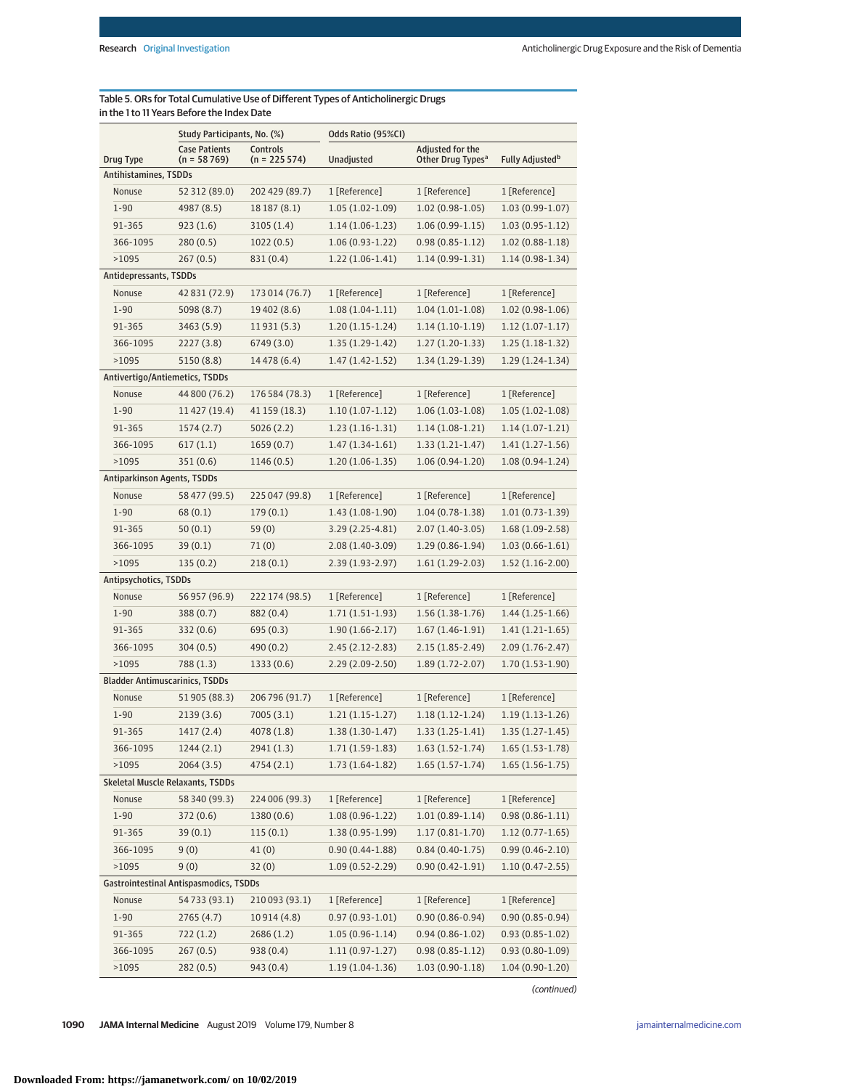# Table 5. ORs for Total Cumulative Use of Different Types of Anticholinergic Drugs in the 1 to 11 Years Before the Index Date

|                                       | Study Participants, No. (%)                   |                | Odds Ratio (95%CI)  |                               |                             |  |
|---------------------------------------|-----------------------------------------------|----------------|---------------------|-------------------------------|-----------------------------|--|
|                                       | <b>Case Patients</b>                          | Controls       |                     | Adjusted for the              |                             |  |
| Drug Type<br>Antihistamines, TSDDs    | $(n = 58769)$                                 | $(n = 225574)$ | Unadjusted          | Other Drug Types <sup>a</sup> | Fully Adjusted <sup>b</sup> |  |
| Nonuse                                | 52 312 (89.0)                                 | 202 429 (89.7) | 1 [Reference]       | 1 [Reference]                 | 1 [Reference]               |  |
| $1 - 90$                              | 4987 (8.5)                                    | 18 187 (8.1)   | $1.05(1.02-1.09)$   | $1.02(0.98-1.05)$             | $1.03(0.99-1.07)$           |  |
| 91-365                                | 923(1.6)                                      | 3105(1.4)      | $1.14(1.06-1.23)$   | $1.06(0.99-1.15)$             | $1.03(0.95-1.12)$           |  |
| 366-1095                              | 280(0.5)                                      | 1022(0.5)      | $1.06(0.93-1.22)$   | $0.98(0.85 - 1.12)$           | $1.02(0.88-1.18)$           |  |
| >1095                                 | 267(0.5)                                      | 831 (0.4)      | $1.22(1.06-1.41)$   | $1.14(0.99-1.31)$             | $1.14(0.98-1.34)$           |  |
| Antidepressants, TSDDs                |                                               |                |                     |                               |                             |  |
| Nonuse                                | 42 831 (72.9)                                 | 173 014 (76.7) | 1 [Reference]       | 1 [Reference]                 | 1 [Reference]               |  |
| $1 - 90$                              | 5098 (8.7)                                    | 19 402 (8.6)   | $1.08(1.04-1.11)$   | $1.04(1.01-1.08)$             | $1.02(0.98-1.06)$           |  |
| 91-365                                | 3463 (5.9)                                    | 11931 (5.3)    | $1.20(1.15-1.24)$   | $1.14(1.10-1.19)$             | $1.12(1.07-1.17)$           |  |
| 366-1095                              | 2227(3.8)                                     | 6749(3.0)      | $1.35(1.29-1.42)$   | $1.27(1.20-1.33)$             | $1.25(1.18-1.32)$           |  |
|                                       |                                               |                |                     |                               |                             |  |
| >1095                                 | 5150 (8.8)                                    | 14 4 78 (6.4)  | $1.47(1.42 - 1.52)$ | $1.34(1.29-1.39)$             | $1.29(1.24-1.34)$           |  |
| Antivertigo/Antiemetics, TSDDs        |                                               |                |                     |                               |                             |  |
| Nonuse                                | 44 800 (76.2)                                 | 176 584 (78.3) | 1 [Reference]       | 1 [Reference]                 | 1 [Reference]               |  |
| $1 - 90$                              | 11 427 (19.4)                                 | 41 159 (18.3)  | $1.10(1.07-1.12)$   | $1.06(1.03-1.08)$             | $1.05(1.02-1.08)$           |  |
| 91-365                                | 1574(2.7)                                     | 5026(2.2)      | $1.23(1.16-1.31)$   | $1.14(1.08-1.21)$             | $1.14(1.07-1.21)$           |  |
| 366-1095                              | 617(1.1)                                      | 1659(0.7)      | $1.47(1.34-1.61)$   | $1.33(1.21-1.47)$             | $1.41(1.27-1.56)$           |  |
| >1095                                 | 351 (0.6)                                     | 1146 (0.5)     | $1.20(1.06-1.35)$   | $1.06(0.94-1.20)$             | $1.08(0.94-1.24)$           |  |
| <b>Antiparkinson Agents, TSDDs</b>    |                                               |                |                     |                               |                             |  |
| Nonuse                                | 58 477 (99.5)                                 | 225 047 (99.8) | 1 [Reference]       | 1 [Reference]                 | 1 [Reference]               |  |
| $1 - 90$                              | 68(0.1)                                       | 179(0.1)       | 1.43 (1.08-1.90)    | $1.04(0.78-1.38)$             | $1.01(0.73-1.39)$           |  |
| 91-365                                | 50(0.1)                                       | 59(0)          | 3.29 (2.25-4.81)    | 2.07 (1.40-3.05)              | $1.68(1.09-2.58)$           |  |
| 366-1095                              | 39(0.1)                                       | 71(0)          | 2.08 (1.40-3.09)    | $1.29(0.86-1.94)$             | $1.03(0.66 - 1.61)$         |  |
| >1095                                 | 135(0.2)                                      | 218(0.1)       | $2.39(1.93 - 2.97)$ | $1.61(1.29-2.03)$             | $1.52(1.16-2.00)$           |  |
| Antipsychotics, TSDDs                 |                                               |                |                     |                               |                             |  |
| Nonuse                                | 56 957 (96.9)                                 | 222 174 (98.5) | 1 [Reference]       | 1 [Reference]                 | 1 [Reference]               |  |
| $1 - 90$                              | 388 (0.7)                                     | 882 (0.4)      | $1.71(1.51-1.93)$   | $1.56(1.38-1.76)$             | $1.44(1.25-1.66)$           |  |
| 91-365                                | 332 (0.6)                                     | 695(0.3)       | $1.90(1.66 - 2.17)$ | $1.67(1.46-1.91)$             | $1.41(1.21-1.65)$           |  |
| 366-1095                              | 304(0.5)                                      | 490(0.2)       | $2.45(2.12 - 2.83)$ | 2.15 (1.85-2.49)              | $2.09(1.76 - 2.47)$         |  |
| >1095                                 | 788 (1.3)                                     | 1333(0.6)      | $2.29(2.09-2.50)$   | $1.89(1.72 - 2.07)$           | $1.70(1.53-1.90)$           |  |
| <b>Bladder Antimuscarinics, TSDDs</b> |                                               |                |                     |                               |                             |  |
| Nonuse                                | 51905 (88.3)                                  | 206 796 (91.7) | 1 [Reference]       | 1 [Reference]                 | 1 [Reference]               |  |
| $1 - 90$                              | 2139(3.6)                                     | 7005(3.1)      | $1.21(1.15-1.27)$   | $1.18(1.12-1.24)$             | $1.19(1.13-1.26)$           |  |
| 91-365                                | 1417 (2.4)                                    | 4078 (1.8)     | $1.38(1.30-1.47)$   | $1.33(1.25-1.41)$             | $1.35(1.27-1.45)$           |  |
| 366-1095                              | 1244(2.1)                                     | 2941 (1.3)     | $1.71(1.59-1.83)$   | $1.63(1.52-1.74)$             | $1.65(1.53-1.78)$           |  |
| >1095                                 | 2064(3.5)                                     | 4754 (2.1)     | $1.73(1.64-1.82)$   | $1.65(1.57-1.74)$             | $1.65(1.56-1.75)$           |  |
| Skeletal Muscle Relaxants, TSDDs      |                                               |                |                     |                               |                             |  |
| Nonuse                                | 58 340 (99.3)                                 | 224 006 (99.3) | 1 [Reference]       | 1 [Reference]                 | 1 [Reference]               |  |
| $1 - 90$                              | 372 (0.6)                                     | 1380 (0.6)     | $1.08(0.96 - 1.22)$ | $1.01(0.89-1.14)$             | $0.98(0.86 - 1.11)$         |  |
| 91-365                                | 39(0.1)                                       | 115(0.1)       | $1.38(0.95-1.99)$   | $1.17(0.81 - 1.70)$           | $1.12(0.77-1.65)$           |  |
| 366-1095                              | 9(0)                                          | 41(0)          | $0.90(0.44 - 1.88)$ | $0.84(0.40-1.75)$             | $0.99(0.46 - 2.10)$         |  |
| >1095                                 | 9(0)                                          | 32(0)          | $1.09(0.52 - 2.29)$ | $0.90(0.42 - 1.91)$           | $1.10(0.47 - 2.55)$         |  |
|                                       | <b>Gastrointestinal Antispasmodics, TSDDs</b> |                |                     |                               |                             |  |
| Nonuse                                | 54733 (93.1)                                  | 210 093 (93.1) | 1 [Reference]       | 1 [Reference]                 | 1 [Reference]               |  |
| $1 - 90$                              | 2765 (4.7)                                    | 10914 (4.8)    | $0.97(0.93 - 1.01)$ | $0.90(0.86 - 0.94)$           | $0.90(0.85 - 0.94)$         |  |
| 91-365                                | 722 (1.2)                                     | 2686 (1.2)     | $1.05(0.96-1.14)$   | $0.94(0.86 - 1.02)$           | $0.93(0.85 - 1.02)$         |  |
| 366-1095                              | 267(0.5)                                      | 938 (0.4)      | $1.11(0.97-1.27)$   | $0.98(0.85 - 1.12)$           | $0.93(0.80-1.09)$           |  |
| >1095                                 | 282(0.5)                                      | 943 (0.4)      | $1.19(1.04-1.36)$   | $1.03(0.90-1.18)$             | $1.04(0.90-1.20)$           |  |
|                                       |                                               |                |                     |                               |                             |  |

(continued)

**1090 JAMA Internal Medicine** August 2019 Volume 179, Number 8 **(Reprinted)** [jamainternalmedicine.com](http://www.jamainternalmedicine.com/?utm_campaign=articlePDF%26utm_medium=articlePDFlink%26utm_source=articlePDF%26utm_content=jamainternmed.2019.0677)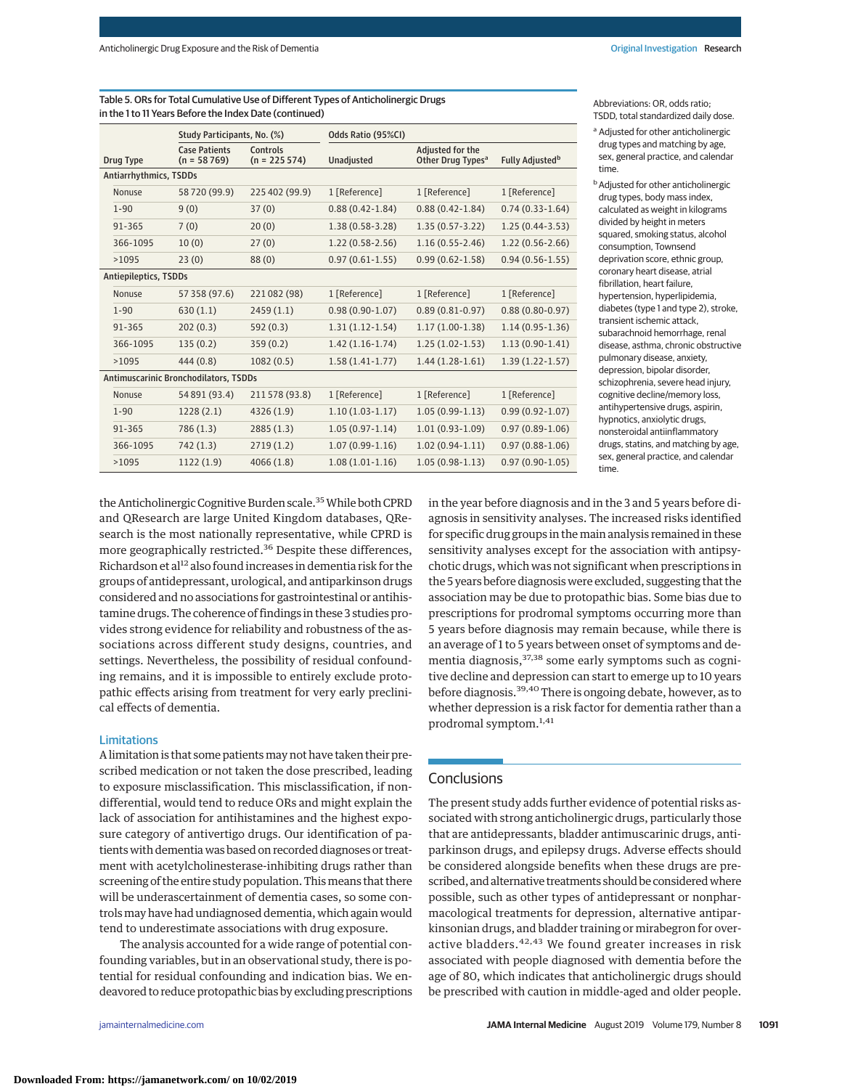|                                       |                        | Study Participants, No. (%)           |                            | Odds Ratio (95%CI)  |                                                   |                             |
|---------------------------------------|------------------------|---------------------------------------|----------------------------|---------------------|---------------------------------------------------|-----------------------------|
|                                       | <b>Drug Type</b>       | <b>Case Patients</b><br>$(n = 58769)$ | Controls<br>$(n = 225574)$ | Unadjusted          | Adjusted for the<br>Other Drug Types <sup>a</sup> | Fully Adjusted <sup>b</sup> |
|                                       | Antiarrhythmics, TSDDs |                                       |                            |                     |                                                   |                             |
|                                       | Nonuse                 | 58720 (99.9)                          | 225 402 (99.9)             | 1 [Reference]       | 1 [Reference]                                     | 1 [Reference]               |
|                                       | $1 - 90$               | 9(0)                                  | 37(0)                      | $0.88(0.42 - 1.84)$ | $0.88(0.42 - 1.84)$                               | $0.74(0.33-1.64)$           |
|                                       | 91-365                 | 7(0)                                  | 20(0)                      | $1.38(0.58-3.28)$   | $1.35(0.57-3.22)$                                 | $1.25(0.44-3.53)$           |
|                                       | 366-1095               | 10(0)                                 | 27(0)                      | $1.22(0.58-2.56)$   | $1.16(0.55 - 2.46)$                               | $1.22(0.56 - 2.66)$         |
|                                       | >1095                  | 23(0)                                 | 88(0)                      | $0.97(0.61 - 1.55)$ | $0.99(0.62 - 1.58)$                               | $0.94(0.56 - 1.55)$         |
| Antiepileptics, TSDDs                 |                        |                                       |                            |                     |                                                   |                             |
|                                       | Nonuse                 | 57 358 (97.6)                         | 221 082 (98)               | 1 [Reference]       | 1 [Reference]                                     | 1 [Reference]               |
|                                       | $1 - 90$               | 630(1.1)                              | 2459(1.1)                  | $0.98(0.90-1.07)$   | $0.89(0.81 - 0.97)$                               | $0.88(0.80 - 0.97)$         |
|                                       | 91-365                 | 202(0.3)                              | 592 (0.3)                  | $1.31(1.12-1.54)$   | $1.17(1.00-1.38)$                                 | $1.14(0.95-1.36)$           |
|                                       | 366-1095               | 135(0.2)                              | 359(0.2)                   | $1.42(1.16-1.74)$   | $1.25(1.02-1.53)$                                 | $1.13(0.90-1.41)$           |
|                                       | >1095                  | 444 (0.8)                             | 1082(0.5)                  | $1.58(1.41-1.77)$   | $1.44(1.28-1.61)$                                 | $1.39(1.22 - 1.57)$         |
| Antimuscarinic Bronchodilators, TSDDs |                        |                                       |                            |                     |                                                   |                             |
|                                       | Nonuse                 | 54 891 (93.4)                         | 211 578 (93.8)             | 1 [Reference]       | 1 [Reference]                                     | 1 [Reference]               |
|                                       | $1 - 90$               | 1228(2.1)                             | 4326 (1.9)                 | $1.10(1.03-1.17)$   | $1.05(0.99-1.13)$                                 | $0.99(0.92 - 1.07)$         |
|                                       | 91-365                 | 786(1.3)                              | 2885(1.3)                  | $1.05(0.97 - 1.14)$ | $1.01(0.93-1.09)$                                 | $0.97(0.89 - 1.06)$         |
|                                       | 366-1095               | 742(1.3)                              | 2719(1.2)                  | $1.07(0.99-1.16)$   | $1.02(0.94-1.11)$                                 | $0.97(0.88 - 1.06)$         |
|                                       | >1095                  | 1122(1.9)                             | 4066(1.8)                  | $1.08(1.01-1.16)$   | $1.05(0.98-1.13)$                                 | $0.97(0.90-1.05)$           |

Table 5. ORs for Total Cumulative Use of Different Types of Anticholinergic Drugs in the 1 to 11 Years Before the Index Date (continued)

Abbreviations: OR, odds ratio; TSDD, total standardized daily dose.

<sup>a</sup> Adjusted for other anticholinergic drug types and matching by age, sex, general practice, and calendar time.

**b** Adjusted for other anticholinergic drug types, body mass index, calculated as weight in kilograms divided by height in meters squared, smoking status, alcohol consumption, Townsend deprivation score, ethnic group, coronary heart disease, atrial fibrillation, heart failure, hypertension, hyperlipidemia, diabetes (type 1 and type 2), stroke, transient ischemic attack, subarachnoid hemorrhage, renal disease, asthma, chronic obstructive pulmonary disease, anxiety, depression, bipolar disorder, schizophrenia, severe head injury, cognitive decline/memory loss, antihypertensive drugs, aspirin, hypnotics, anxiolytic drugs, nonsteroidal antiinflammatory drugs, statins, and matching by age, sex, general practice, and calendar time.

the Anticholinergic Cognitive Burden scale.<sup>35</sup> While both CPRD and QResearch are large United Kingdom databases, QResearch is the most nationally representative, while CPRD is more geographically restricted.<sup>36</sup> Despite these differences, Richardson et al<sup>12</sup> also found increases in dementia risk for the groups of antidepressant, urological, and antiparkinson drugs considered and no associations for gastrointestinal or antihistamine drugs. The coherence of findings in these 3 studies provides strong evidence for reliability and robustness of the associations across different study designs, countries, and settings. Nevertheless, the possibility of residual confounding remains, and it is impossible to entirely exclude protopathic effects arising from treatment for very early preclinical effects of dementia.

## Limitations

A limitation is that some patients may not have taken their prescribed medication or not taken the dose prescribed, leading to exposure misclassification. This misclassification, if nondifferential, would tend to reduce ORs and might explain the lack of association for antihistamines and the highest exposure category of antivertigo drugs. Our identification of patients with dementia was based on recorded diagnoses or treatment with acetylcholinesterase-inhibiting drugs rather than screening of the entire study population. This means that there will be underascertainment of dementia cases, so some controlsmay have had undiagnosed dementia, which again would tend to underestimate associations with drug exposure.

The analysis accounted for a wide range of potential confounding variables, but in an observational study, there is potential for residual confounding and indication bias. We endeavored to reduce protopathic bias by excluding prescriptions in the year before diagnosis and in the 3 and 5 years before diagnosis in sensitivity analyses. The increased risks identified for specific drug groups in the main analysis remained in these sensitivity analyses except for the association with antipsychotic drugs, which was not significant when prescriptions in the 5 years before diagnosis were excluded, suggesting that the association may be due to protopathic bias. Some bias due to prescriptions for prodromal symptoms occurring more than 5 years before diagnosis may remain because, while there is an average of 1 to 5 years between onset of symptoms and dementia diagnosis, <sup>37,38</sup> some early symptoms such as cognitive decline and depression can start to emerge up to 10 years before diagnosis.39,40 There is ongoing debate, however, as to whether depression is a risk factor for dementia rather than a prodromal symptom.1,41

# **Conclusions**

The present study adds further evidence of potential risks associated with strong anticholinergic drugs, particularly those that are antidepressants, bladder antimuscarinic drugs, antiparkinson drugs, and epilepsy drugs. Adverse effects should be considered alongside benefits when these drugs are prescribed, and alternative treatments should be consideredwhere possible, such as other types of antidepressant or nonpharmacological treatments for depression, alternative antiparkinsonian drugs, and bladder training or mirabegron for overactive bladders.<sup>42,43</sup> We found greater increases in risk associated with people diagnosed with dementia before the age of 80, which indicates that anticholinergic drugs should be prescribed with caution in middle-aged and older people.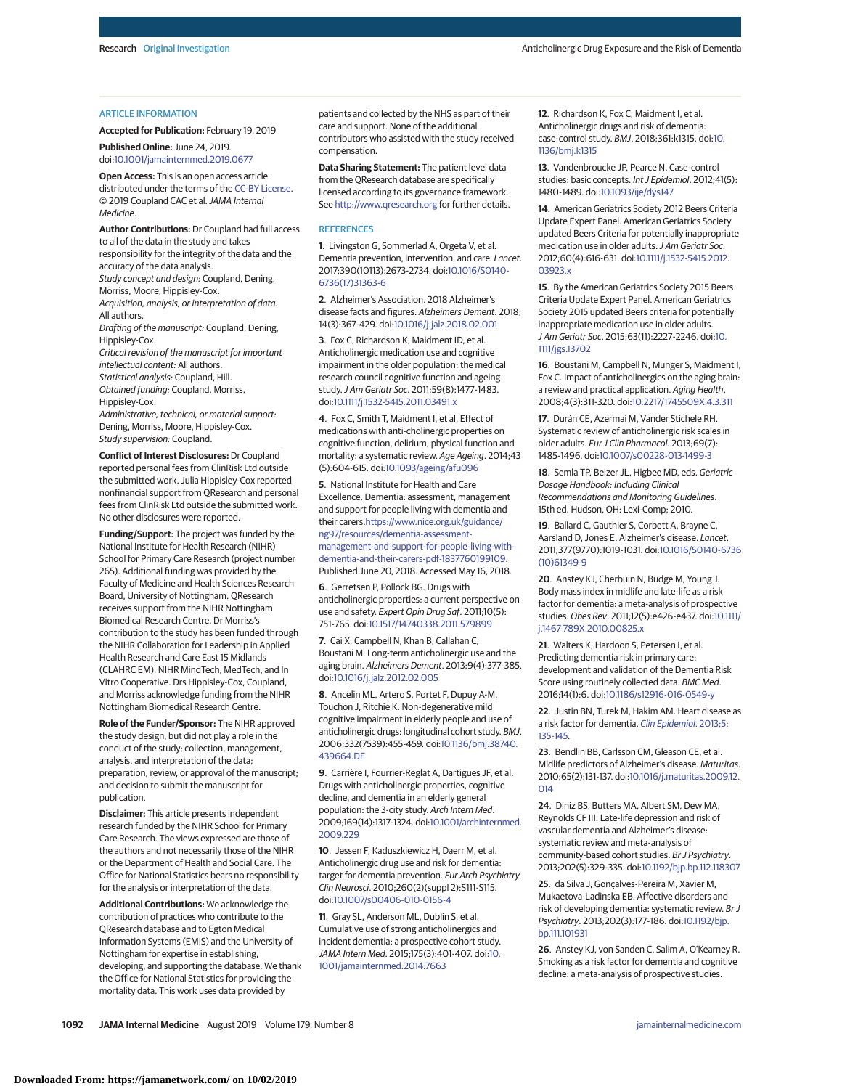#### ARTICLE INFORMATION

**Accepted for Publication:** February 19, 2019 **Published Online:** June 24, 2019. doi[:10.1001/jamainternmed.2019.0677](https://jama.jamanetwork.com/article.aspx?doi=10.1001/jamainternmed.2019.0677&utm_campaign=articlePDF%26utm_medium=articlePDFlink%26utm_source=articlePDF%26utm_content=jamainternmed.2019.0677)

**Open Access:** This is an open access article distributed under the terms of the [CC-BY License.](https://jamanetwork.com/journals/jamainternalmedicine/pages/instructions-for-authors?utm_campaign=articlePDF%26utm_medium=articlePDFlink%26utm_source=articlePDF%26utm_content=jamainternmed.2019.0677#SecOpenAccess) © 2019 Coupland CAC et al.JAMA Internal Medicine.

**Author Contributions:** Dr Coupland had full access to all of the data in the study and takes responsibility for the integrity of the data and the accuracy of the data analysis. Study concept and design: Coupland, Dening, Morriss, Moore, Hippisley-Cox. Acquisition, analysis, or interpretation of data: All authors.

Drafting of the manuscript: Coupland, Dening, Hippisley-Cox.

Critical revision of the manuscript for important intellectual content: All authors. Statistical analysis: Coupland, Hill. Obtained funding: Coupland, Morriss, Hippisley-Cox.

Administrative, technical, or material support: Dening, Morriss, Moore, Hippisley-Cox. Study supervision: Coupland.

**Conflict of Interest Disclosures:** Dr Coupland reported personal fees from ClinRisk Ltd outside the submitted work. Julia Hippisley-Cox reported nonfinancial support from QResearch and personal fees from ClinRisk Ltd outside the submitted work. No other disclosures were reported.

**Funding/Support:** The project was funded by the National Institute for Health Research (NIHR) School for Primary Care Research (project number 265). Additional funding was provided by the Faculty of Medicine and Health Sciences Research Board, University of Nottingham. QResearch receives support from the NIHR Nottingham Biomedical Research Centre. Dr Morriss's contribution to the study has been funded through the NIHR Collaboration for Leadership in Applied Health Research and Care East 15 Midlands (CLAHRC EM), NIHR MindTech, MedTech, and In Vitro Cooperative. Drs Hippisley-Cox, Coupland, and Morriss acknowledge funding from the NIHR Nottingham Biomedical Research Centre.

**Role of the Funder/Sponsor:** The NIHR approved the study design, but did not play a role in the conduct of the study; collection, management, analysis, and interpretation of the data; preparation, review, or approval of the manuscript; and decision to submit the manuscript for publication.

**Disclaimer:** This article presents independent research funded by the NIHR School for Primary Care Research. The views expressed are those of the authors and not necessarily those of the NIHR or the Department of Health and Social Care. The Office for National Statistics bears no responsibility for the analysis or interpretation of the data.

**Additional Contributions:** We acknowledge the contribution of practices who contribute to the QResearch database and to Egton Medical Information Systems (EMIS) and the University of Nottingham for expertise in establishing, developing, and supporting the database. We thank the Office for National Statistics for providing the mortality data. This work uses data provided by

patients and collected by the NHS as part of their care and support. None of the additional contributors who assisted with the study received compensation.

**Data Sharing Statement:** The patient level data from the QResearch database are specifically licensed according to its governance framework. See <http://www.qresearch.org> for further details.

#### **REFERENCES**

**1**. Livingston G, Sommerlad A, Orgeta V, et al. Dementia prevention, intervention, and care. Lancet. 2017;390(10113):2673-2734. doi[:10.1016/S0140-](https://dx.doi.org/10.1016/S0140-6736(17)31363-6) [6736\(17\)31363-6](https://dx.doi.org/10.1016/S0140-6736(17)31363-6)

**2**. Alzheimer's Association. 2018 Alzheimer's disease facts and figures. Alzheimers Dement. 2018; 14(3):367-429. doi[:10.1016/j.jalz.2018.02.001](https://dx.doi.org/10.1016/j.jalz.2018.02.001)

**3**. Fox C, Richardson K, Maidment ID, et al. Anticholinergic medication use and cognitive impairment in the older population: the medical research council cognitive function and ageing study.J Am Geriatr Soc. 2011;59(8):1477-1483. doi[:10.1111/j.1532-5415.2011.03491.x](https://dx.doi.org/10.1111/j.1532-5415.2011.03491.x)

**4**. Fox C, Smith T, Maidment I, et al. Effect of medications with anti-cholinergic properties on cognitive function, delirium, physical function and mortality: a systematic review. Age Ageing. 2014;43 (5):604-615. doi[:10.1093/ageing/afu096](https://dx.doi.org/10.1093/ageing/afu096)

**5**. National Institute for Health and Care Excellence. Dementia: assessment, management and support for people living with dementia and their carers[.https://www.nice.org.uk/guidance/](https://www.nice.org.uk/guidance/ng97/resources/dementia-assessment-management-and-support-for-people-living-with-dementia-and-their-carers-pdf-1837760199109) [ng97/resources/dementia-assessment](https://www.nice.org.uk/guidance/ng97/resources/dementia-assessment-management-and-support-for-people-living-with-dementia-and-their-carers-pdf-1837760199109)[management-and-support-for-people-living-with](https://www.nice.org.uk/guidance/ng97/resources/dementia-assessment-management-and-support-for-people-living-with-dementia-and-their-carers-pdf-1837760199109)[dementia-and-their-carers-pdf-1837760199109.](https://www.nice.org.uk/guidance/ng97/resources/dementia-assessment-management-and-support-for-people-living-with-dementia-and-their-carers-pdf-1837760199109) Published June 20, 2018. Accessed May 16, 2018.

**6**. Gerretsen P, Pollock BG. Drugs with anticholinergic properties: a current perspective on use and safety. Expert Opin Drug Saf. 2011;10(5): 751-765. doi[:10.1517/14740338.2011.579899](https://dx.doi.org/10.1517/14740338.2011.579899)

**7**. Cai X, Campbell N, Khan B, Callahan C, Boustani M. Long-term anticholinergic use and the aging brain. Alzheimers Dement. 2013;9(4):377-385. doi[:10.1016/j.jalz.2012.02.005](https://dx.doi.org/10.1016/j.jalz.2012.02.005)

**8**. Ancelin ML, Artero S, Portet F, Dupuy A-M, Touchon J, Ritchie K. Non-degenerative mild cognitive impairment in elderly people and use of anticholinergic drugs: longitudinal cohort study. BMJ. 2006;332(7539):455-459. doi[:10.1136/bmj.38740.](https://dx.doi.org/10.1136/bmj.38740.439664.DE) [439664.DE](https://dx.doi.org/10.1136/bmj.38740.439664.DE)

**9**. Carrière I, Fourrier-Reglat A, Dartigues JF, et al. Drugs with anticholinergic properties, cognitive decline, and dementia in an elderly general population: the 3-city study. Arch Intern Med. 2009;169(14):1317-1324. doi[:10.1001/archinternmed.](https://jama.jamanetwork.com/article.aspx?doi=10.1001/archinternmed.2009.229&utm_campaign=articlePDF%26utm_medium=articlePDFlink%26utm_source=articlePDF%26utm_content=jamainternmed.2019.0677) [2009.229](https://jama.jamanetwork.com/article.aspx?doi=10.1001/archinternmed.2009.229&utm_campaign=articlePDF%26utm_medium=articlePDFlink%26utm_source=articlePDF%26utm_content=jamainternmed.2019.0677)

**10**. Jessen F, Kaduszkiewicz H, Daerr M, et al. Anticholinergic drug use and risk for dementia: target for dementia prevention. Eur Arch Psychiatry Clin Neurosci. 2010;260(2)(suppl 2):S111-S115. doi[:10.1007/s00406-010-0156-4](https://dx.doi.org/10.1007/s00406-010-0156-4)

**11**. Gray SL, Anderson ML, Dublin S, et al. Cumulative use of strong anticholinergics and incident dementia: a prospective cohort study. JAMA Intern Med. 2015;175(3):401-407. doi[:10.](https://jama.jamanetwork.com/article.aspx?doi=10.1001/jamainternmed.2014.7663&utm_campaign=articlePDF%26utm_medium=articlePDFlink%26utm_source=articlePDF%26utm_content=jamainternmed.2019.0677) [1001/jamainternmed.2014.7663](https://jama.jamanetwork.com/article.aspx?doi=10.1001/jamainternmed.2014.7663&utm_campaign=articlePDF%26utm_medium=articlePDFlink%26utm_source=articlePDF%26utm_content=jamainternmed.2019.0677)

**12**. Richardson K, Fox C, Maidment I, et al. Anticholinergic drugs and risk of dementia: case-control study. BMJ. 2018;361:k1315. doi[:10.](https://dx.doi.org/10.1136/bmj.k1315) [1136/bmj.k1315](https://dx.doi.org/10.1136/bmj.k1315)

**13**. Vandenbroucke JP, Pearce N. Case-control studies: basic concepts. Int J Epidemiol. 2012;41(5): 1480-1489. doi[:10.1093/ije/dys147](https://dx.doi.org/10.1093/ije/dys147)

**14**. American Geriatrics Society 2012 Beers Criteria Update Expert Panel. American Geriatrics Society updated Beers Criteria for potentially inappropriate medication use in older adults. J Am Geriatr Soc. 2012;60(4):616-631. doi[:10.1111/j.1532-5415.2012.](https://dx.doi.org/10.1111/j.1532-5415.2012.03923.x) [03923.x](https://dx.doi.org/10.1111/j.1532-5415.2012.03923.x)

**15**. By the American Geriatrics Society 2015 Beers Criteria Update Expert Panel. American Geriatrics Society 2015 updated Beers criteria for potentially inappropriate medication use in older adults. J Am Geriatr Soc. 2015;63(11):2227-2246. doi[:10.](https://dx.doi.org/10.1111/jgs.13702) [1111/jgs.13702](https://dx.doi.org/10.1111/jgs.13702)

**16**. Boustani M, Campbell N, Munger S, Maidment I, Fox C. Impact of anticholinergics on the aging brain: a review and practical application. Aging Health. 2008;4(3):311-320. doi[:10.2217/1745509X.4.3.311](https://dx.doi.org/10.2217/1745509X.4.3.311)

**17**. Durán CE, Azermai M, Vander Stichele RH. Systematic review of anticholinergic risk scales in older adults. Eur J Clin Pharmacol. 2013;69(7): 1485-1496. doi[:10.1007/s00228-013-1499-3](https://dx.doi.org/10.1007/s00228-013-1499-3)

**18**. Semla TP, Beizer JL, Higbee MD, eds. Geriatric Dosage Handbook: Including Clinical Recommendations and Monitoring Guidelines. 15th ed. Hudson, OH: Lexi-Comp; 2010.

**19**. Ballard C, Gauthier S, Corbett A, Brayne C, Aarsland D, Jones E. Alzheimer's disease. Lancet. 2011;377(9770):1019-1031. doi[:10.1016/S0140-6736](https://dx.doi.org/10.1016/S0140-6736(10)61349-9) [\(10\)61349-9](https://dx.doi.org/10.1016/S0140-6736(10)61349-9)

**20**. Anstey KJ, Cherbuin N, Budge M, Young J. Body mass index in midlife and late-life as a risk factor for dementia: a meta-analysis of prospective studies. Obes Rev. 2011;12(5):e426-e437. doi[:10.1111/](https://dx.doi.org/10.1111/j.1467-789X.2010.00825.x) [j.1467-789X.2010.00825.x](https://dx.doi.org/10.1111/j.1467-789X.2010.00825.x)

**21**. Walters K, Hardoon S, Petersen I, et al. Predicting dementia risk in primary care: development and validation of the Dementia Risk Score using routinely collected data. BMC Med. 2016;14(1):6. doi[:10.1186/s12916-016-0549-y](https://dx.doi.org/10.1186/s12916-016-0549-y)

**22**. Justin BN, Turek M, Hakim AM. Heart disease as a risk factor for dementia. [Clin Epidemiol](https://www.ncbi.nlm.nih.gov/pubmed/23658499). 2013;5: [135-145.](https://www.ncbi.nlm.nih.gov/pubmed/23658499)

**23**. Bendlin BB, Carlsson CM, Gleason CE, et al. Midlife predictors of Alzheimer's disease. Maturitas. 2010;65(2):131-137. doi[:10.1016/j.maturitas.2009.12.](https://dx.doi.org/10.1016/j.maturitas.2009.12.014) [014](https://dx.doi.org/10.1016/j.maturitas.2009.12.014)

**24**. Diniz BS, Butters MA, Albert SM, Dew MA, Reynolds CF III. Late-life depression and risk of vascular dementia and Alzheimer's disease: systematic review and meta-analysis of community-based cohort studies. Br J Psychiatry. 2013;202(5):329-335. doi[:10.1192/bjp.bp.112.118307](https://dx.doi.org/10.1192/bjp.bp.112.118307)

**25**. da Silva J, Gonçalves-Pereira M, Xavier M, Mukaetova-Ladinska EB. Affective disorders and risk of developing dementia: systematic review. Br J Psychiatry. 2013;202(3):177-186. doi[:10.1192/bjp.](https://dx.doi.org/10.1192/bjp.bp.111.101931) [bp.111.101931](https://dx.doi.org/10.1192/bjp.bp.111.101931)

**26**. Anstey KJ, von Sanden C, Salim A, O'Kearney R. Smoking as a risk factor for dementia and cognitive decline: a meta-analysis of prospective studies.